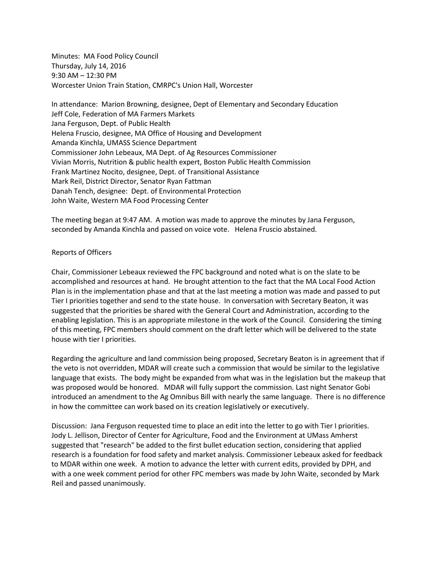Minutes: MA Food Policy Council Thursday, July 14, 2016 9:30 AM – 12:30 PM Worcester Union Train Station, CMRPC's Union Hall, Worcester

In attendance: Marion Browning, designee, Dept of Elementary and Secondary Education Jeff Cole, Federation of MA Farmers Markets Jana Ferguson, Dept. of Public Health Helena Fruscio, designee, MA Office of Housing and Development Amanda Kinchla, UMASS Science Department Commissioner John Lebeaux, MA Dept. of Ag Resources Commissioner Vivian Morris, Nutrition & public health expert, Boston Public Health Commission Frank Martinez Nocito, designee, Dept. of Transitional Assistance Mark Reil, District Director, Senator Ryan Fattman Danah Tench, designee: Dept. of Environmental Protection John Waite, Western MA Food Processing Center

The meeting began at 9:47 AM. A motion was made to approve the minutes by Jana Ferguson, seconded by Amanda Kinchla and passed on voice vote. Helena Fruscio abstained.

# Reports of Officers

Chair, Commissioner Lebeaux reviewed the FPC background and noted what is on the slate to be accomplished and resources at hand. He brought attention to the fact that the MA Local Food Action Plan is in the implementation phase and that at the last meeting a motion was made and passed to put Tier I priorities together and send to the state house. In conversation with Secretary Beaton, it was suggested that the priorities be shared with the General Court and Administration, according to the enabling legislation. This is an appropriate milestone in the work of the Council. Considering the timing of this meeting, FPC members should comment on the draft letter which will be delivered to the state house with tier I priorities.

Regarding the agriculture and land commission being proposed, Secretary Beaton is in agreement that if the veto is not overridden, MDAR will create such a commission that would be similar to the legislative language that exists. The body might be expanded from what was in the legislation but the makeup that was proposed would be honored. MDAR will fully support the commission. Last night Senator Gobi introduced an amendment to the Ag Omnibus Bill with nearly the same language. There is no difference in how the committee can work based on its creation legislatively or executively.

Discussion: Jana Ferguson requested time to place an edit into the letter to go with Tier I priorities. Jody L. Jellison, Director of Center for Agriculture, Food and the Environment at UMass Amherst suggested that "research" be added to the first bullet education section, considering that applied research is a foundation for food safety and market analysis. Commissioner Lebeaux asked for feedback to MDAR within one week. A motion to advance the letter with current edits, provided by DPH, and with a one week comment period for other FPC members was made by John Waite, seconded by Mark Reil and passed unanimously.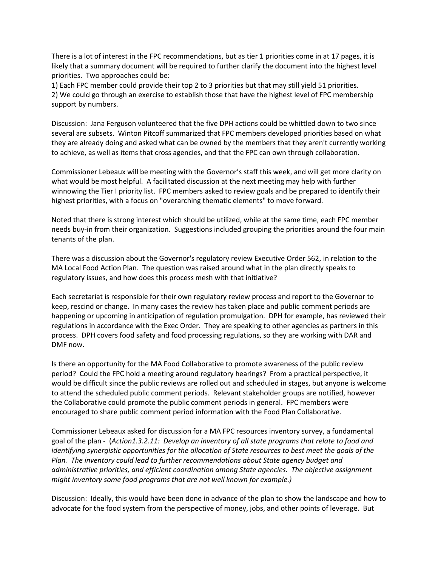There is a lot of interest in the FPC recommendations, but as tier 1 priorities come in at 17 pages, it is likely that a summary document will be required to further clarify the document into the highest level priorities. Two approaches could be:

1) Each FPC member could provide their top 2 to 3 priorities but that may still yield 51 priorities. 2) We could go through an exercise to establish those that have the highest level of FPC membership support by numbers.

Discussion: Jana Ferguson volunteered that the five DPH actions could be whittled down to two since several are subsets. Winton Pitcoff summarized that FPC members developed priorities based on what they are already doing and asked what can be owned by the members that they aren't currently working to achieve, as well as items that cross agencies, and that the FPC can own through collaboration.

Commissioner Lebeaux will be meeting with the Governor's staff this week, and will get more clarity on what would be most helpful. A facilitated discussion at the next meeting may help with further winnowing the Tier I priority list. FPC members asked to review goals and be prepared to identify their highest priorities, with a focus on "overarching thematic elements" to move forward.

Noted that there is strong interest which should be utilized, while at the same time, each FPC member needs buy-in from their organization. Suggestions included grouping the priorities around the four main tenants of the plan.

There was a discussion about the Governor's regulatory review Executive Order 562, in relation to the MA Local Food Action Plan. The question was raised around what in the plan directly speaks to regulatory issues, and how does this process mesh with that initiative?

Each secretariat is responsible for their own regulatory review process and report to the Governor to keep, rescind or change. In many cases the review has taken place and public comment periods are happening or upcoming in anticipation of regulation promulgation. DPH for example, has reviewed their regulations in accordance with the Exec Order. They are speaking to other agencies as partners in this process. DPH covers food safety and food processing regulations, so they are working with DAR and DMF now.

Is there an opportunity for the MA Food Collaborative to promote awareness of the public review period? Could the FPC hold a meeting around regulatory hearings? From a practical perspective, it would be difficult since the public reviews are rolled out and scheduled in stages, but anyone is welcome to attend the scheduled public comment periods. Relevant stakeholder groups are notified, however the Collaborative could promote the public comment periods in general. FPC members were encouraged to share public comment period information with the Food Plan Collaborative.

Commissioner Lebeaux asked for discussion for a MA FPC resources inventory survey, a fundamental goal of the plan - (*Action1.3.2.11: Develop an inventory of all state programs that relate to food and identifying synergistic opportunities for the allocation of State resources to best meet the goals of the Plan. The inventory could lead to further recommendations about State agency budget and administrative priorities, and efficient coordination among State agencies. The objective assignment might inventory some food programs that are not well known for example.)*

Discussion: Ideally, this would have been done in advance of the plan to show the landscape and how to advocate for the food system from the perspective of money, jobs, and other points of leverage. But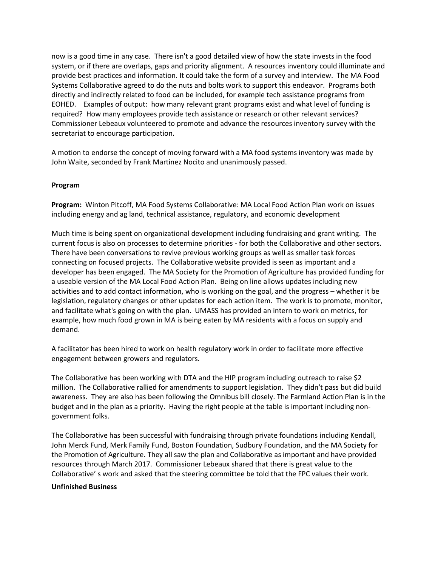now is a good time in any case. There isn't a good detailed view of how the state invests in the food system, or if there are overlaps, gaps and priority alignment. A resources inventory could illuminate and provide best practices and information. It could take the form of a survey and interview. The MA Food Systems Collaborative agreed to do the nuts and bolts work to support this endeavor. Programs both directly and indirectly related to food can be included, for example tech assistance programs from EOHED. Examples of output: how many relevant grant programs exist and what level of funding is required? How many employees provide tech assistance or research or other relevant services? Commissioner Lebeaux volunteered to promote and advance the resources inventory survey with the secretariat to encourage participation.

A motion to endorse the concept of moving forward with a MA food systems inventory was made by John Waite, seconded by Frank Martinez Nocito and unanimously passed.

#### **Program**

**Program:** Winton Pitcoff, MA Food Systems Collaborative: MA Local Food Action Plan work on issues including energy and ag land, technical assistance, regulatory, and economic development

Much time is being spent on organizational development including fundraising and grant writing. The current focus is also on processes to determine priorities - for both the Collaborative and other sectors. There have been conversations to revive previous working groups as well as smaller task forces connecting on focused projects. The Collaborative website provided is seen as important and a developer has been engaged. The MA Society for the Promotion of Agriculture has provided funding for a useable version of the MA Local Food Action Plan. Being on line allows updates including new activities and to add contact information, who is working on the goal, and the progress – whether it be legislation, regulatory changes or other updates for each action item. The work is to promote, monitor, and facilitate what's going on with the plan. UMASS has provided an intern to work on metrics, for example, how much food grown in MA is being eaten by MA residents with a focus on supply and demand.

A facilitator has been hired to work on health regulatory work in order to facilitate more effective engagement between growers and regulators.

The Collaborative has been working with DTA and the HIP program including outreach to raise \$2 million. The Collaborative rallied for amendments to support legislation. They didn't pass but did build awareness. They are also has been following the Omnibus bill closely. The Farmland Action Plan is in the budget and in the plan as a priority. Having the right people at the table is important including nongovernment folks.

The Collaborative has been successful with fundraising through private foundations including Kendall, John Merck Fund, Merk Family Fund, Boston Foundation, Sudbury Foundation, and the MA Society for the Promotion of Agriculture. They all saw the plan and Collaborative as important and have provided resources through March 2017. Commissioner Lebeaux shared that there is great value to the Collaborative' s work and asked that the steering committee be told that the FPC values their work.

### **Unfinished Business**